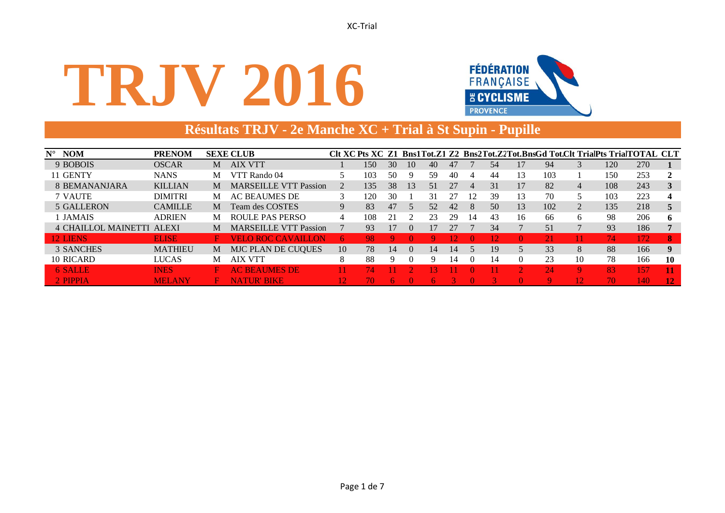XC-Trial

# **TRJV 2016**



### **Résultats TRJV - 2e Manche XC + Trial à St Supin - Pupille**

| $N^{\circ}$ NOM           | <b>PRENOM</b>  |   | <b>SEXE CLUB</b>                     |    |     |    |          |    |                |                |    |          | Clt XC Pts XC Z1 Bns1Tot.Z1 Z2 Bns2Tot.Z2Tot.BnsGd Tot.Clt TrialPts TrialTOTAL CLT |          |     |              |                         |
|---------------------------|----------------|---|--------------------------------------|----|-----|----|----------|----|----------------|----------------|----|----------|------------------------------------------------------------------------------------|----------|-----|--------------|-------------------------|
| 9 BOBOIS                  | <b>OSCAR</b>   | M | <b>AIX VTT</b>                       |    | 150 | 30 | 10       | 40 | 47             |                | 54 |          | 94                                                                                 |          | 120 | 270          |                         |
| 11 GENTY                  | <b>NANS</b>    | M | VTT Rando 04                         |    | 103 | 50 |          | 59 | 40             |                | 44 | 13       | 103                                                                                |          | 150 | 253          |                         |
| 8 BEMANANJARA             | <b>KILLIAN</b> | M | <b>MARSEILLE VTT Passion</b>         |    | 135 | 38 | 13       | 51 | 27             | 4              | 31 | 17       | 82                                                                                 | 4        | 108 | 243          | 3                       |
| 7 VAUTE                   | <b>DIMITRI</b> | M | <b>AC BEAUMES DE</b>                 |    | 120 | 30 |          | 31 | າາ             | $\overline{2}$ | 39 | 13       | 70                                                                                 |          | 103 | 223          |                         |
| 5 GALLERON                | <b>CAMILLE</b> | M | Team des COSTES                      | 9  | 83  | 47 |          | 52 | 42             | 8              | 50 | 13       | 102                                                                                |          | 135 | 218          | $\overline{\mathbf{5}}$ |
| 1 JAMAIS                  | <b>ADRIEN</b>  | M | ROULE PAS PERSO                      | 4  | 108 | 21 |          | 23 | 29             | 14             | 43 | 16       | 66                                                                                 | 6        | 98  | 206          | 6                       |
| 4 CHAILLOL MAINETTI ALEXI |                | M | <b>MARSEILLE VTT Passion</b>         |    | 93  |    |          | 17 | 27             |                | 34 |          | 51                                                                                 |          | 93  | 186          |                         |
| 12 LIENS                  | <b>ELISE</b>   |   | <b>VELO ROC CAVAILL</b><br><b>ON</b> | h. | 98  |    | 0.       |    | $\overline{2}$ |                |    |          |                                                                                    |          | 74  | 172          | 8                       |
| 3 SANCHES                 | <b>MATHIEU</b> | M | <b>MJC PLAN DE CUQUES</b>            | 10 | 78  | 14 | $\Omega$ | 14 | 14             |                | 19 | 5        | 33                                                                                 | 8        | 88  | 166          | 9                       |
| 10 RICARD                 | <b>LUCAS</b>   | M | <b>AIX VTT</b>                       | 8  | 88  | 9  |          | 9  | 14             |                | 14 | $\Omega$ | 23                                                                                 | 10       | 78  | 166          | <b>10</b>               |
| 6 SALLE                   | <b>INES</b>    |   | <b>AC BEAUMES DE</b>                 |    | 74' |    |          | г. |                | 0              |    |          | 24'                                                                                | <b>Q</b> | 83  | 157          | 117                     |
| 2 PIPPIA                  | <b>MELANY</b>  |   | 'UR' BIKE<br>NA.                     |    | 70. | h. |          | h. |                |                |    |          |                                                                                    |          | 70) | $ 40\rangle$ | 12                      |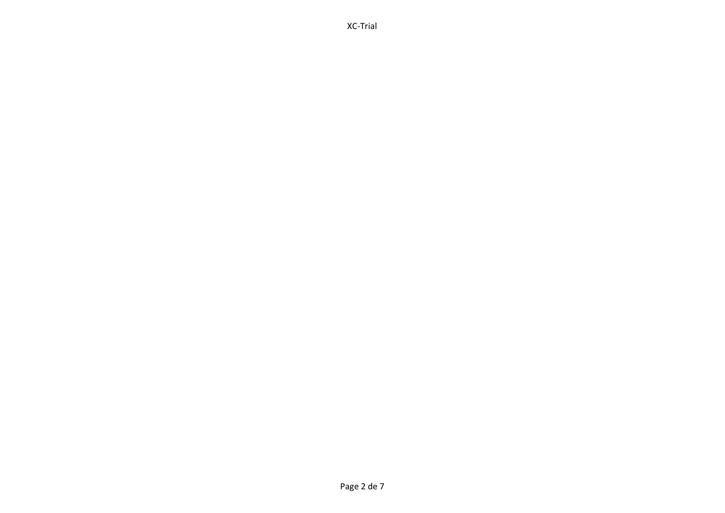XC-Trial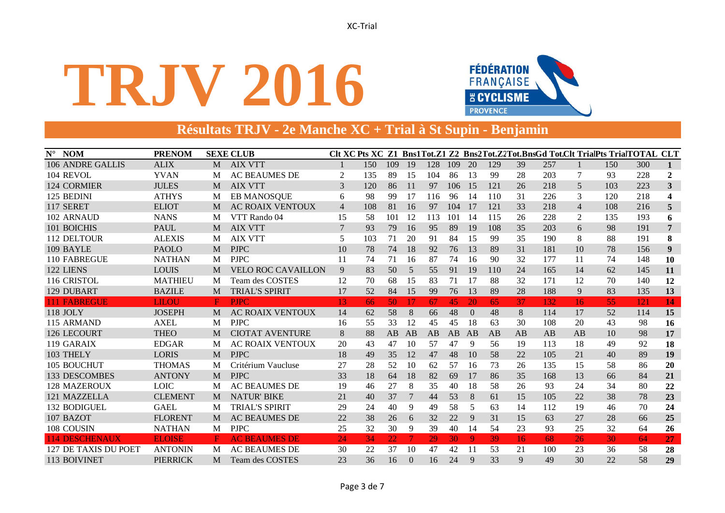# **TRJV 2016**



### **Résultats TRJV - 2e Manche XC + Trial à St Supin - Benjamin**

| $N^{\circ}$ NOM       | <b>PRENOM</b>   |              | <b>SEXE CLUB</b>          |                |     |     |               |     |     |                |     |    |     | Clt XC Pts XC Z1 Bns1Tot.Z1 Z2 Bns2Tot.Z2Tot.BnsGd Tot.Clt TrialPts TrialTOTAL CLT |     |     |                |
|-----------------------|-----------------|--------------|---------------------------|----------------|-----|-----|---------------|-----|-----|----------------|-----|----|-----|------------------------------------------------------------------------------------|-----|-----|----------------|
| 106 ANDRE GALLIS      | <b>ALIX</b>     | M            | <b>AIX VTT</b>            |                | 150 | 109 | 19            | 128 | 109 | 20             | 129 | 39 | 257 |                                                                                    | 150 | 300 | 1              |
| 104 REVOL             | <b>YVAN</b>     | M            | <b>AC BEAUMES DE</b>      | 2              | 135 | 89  | 15            | 104 | 86  | 13             | 99  | 28 | 203 | 7                                                                                  | 93  | 228 | $\mathbf{2}$   |
| 124 CORMIER           | <b>JULES</b>    | M            | <b>AIX VTT</b>            | 3              | 120 | 86  | <sup>11</sup> | 97  | 106 | 15             | 121 | 26 | 218 | 5                                                                                  | 103 | 223 | 3              |
| 125 BEDINI            | <b>ATHYS</b>    | М            | <b>EB MANOSQUE</b>        | 6              | 98  | 99  | 17            | 116 | 96  | -14            | 110 | 31 | 226 | 3                                                                                  | 120 | 218 | 4              |
| 117 SERET             | <b>ELIOT</b>    | M            | <b>AC ROAIX VENTOUX</b>   | $\overline{4}$ | 108 | 81  | 16            | 97  | 104 | 17             | 121 | 33 | 218 | $\overline{4}$                                                                     | 108 | 216 | 5              |
| 102 ARNAUD            | <b>NANS</b>     | М            | VTT Rando 04              | 15             | 58  | 101 | 12            | 113 | 101 | 14             | 115 | 26 | 228 | 2                                                                                  | 135 | 193 | 6              |
| 101 BOICHIS           | <b>PAUL</b>     | M            | <b>AIX VTT</b>            | $\tau$         | 93  | 79  | 16            | 95  | 89  | 19             | 108 | 35 | 203 | 6                                                                                  | 98  | 191 | $\overline{7}$ |
| 112 DELTOUR           | <b>ALEXIS</b>   | M            | <b>AIX VTT</b>            | 5              | 103 | 71  | 20            | 91  | 84  | 15             | 99  | 35 | 190 | 8                                                                                  | 88  | 191 | 8              |
| 109 BAYLE             | <b>PAOLO</b>    | M            | <b>PJPC</b>               | 10             | 78  | 74  | 18            | 92  | 76  | 13             | 89  | 31 | 181 | 10                                                                                 | 78  | 156 | 9              |
| 110 FABREGUE          | <b>NATHAN</b>   | M            | <b>PJPC</b>               | 11             | 74  | 71  | 16            | 87  | 74  | -16            | 90  | 32 | 177 | 11                                                                                 | 74  | 148 | 10             |
| 122 LIENS             | <b>LOUIS</b>    | M            | <b>VELO ROC CAVAILLON</b> | 9              | 83  | 50  | 5             | 55  | 91  | 19             | 110 | 24 | 165 | 14                                                                                 | 62  | 145 | 11             |
| 116 CRISTOL           | <b>MATHIEU</b>  | М            | Team des COSTES           | 12             | 70  | 68  | 15            | 83  | 71  | 17             | 88  | 32 | 171 | 12                                                                                 | 70  | 140 | 12             |
| 129 DUBART            | <b>BAZILE</b>   | M            | <b>TRIAL'S SPIRIT</b>     | 17             | 52  | 84  | 15            | 99  | 76  | 13             | 89  | 28 | 188 | 9                                                                                  | 83  | 135 | 13             |
| <b>111 FABREGUE</b>   | <b>LILOU</b>    | F.           | <b>PJPC</b>               | 13.            | 66  | 50  | 17            | 67  | 45  | <b>20</b>      | 65  | 37 | 132 | 16                                                                                 | 55  | 121 | 14             |
| 118 JOLY              | <b>JOSEPH</b>   | M            | <b>AC ROAIX VENTOUX</b>   | 14             | 62  | 58  | 8             | 66  | 48  | $\overline{0}$ | 48  | 8  | 114 | 17                                                                                 | 52  | 114 | 15             |
| 115 ARMAND            | <b>AXEL</b>     | M            | <b>PJPC</b>               | 16             | 55  | 33  | 12            | 45  | 45  | 18             | 63  | 30 | 108 | 20                                                                                 | 43  | 98  | 16             |
| 126 LECOURT           | <b>THEO</b>     | M            | <b>CIOTAT AVENTURE</b>    | 8              | 88  | AB  | AB            | AB  | AB  | AB             | AB  | AB | AB  | AB                                                                                 | 10  | 98  | 17             |
| 119 GARAIX            | <b>EDGAR</b>    | М            | <b>AC ROAIX VENTOUX</b>   | 20             | 43  | 47  | 10            | 57  | 47  | 9              | 56  | 19 | 113 | 18                                                                                 | 49  | 92  | 18             |
| 103 THELY             | <b>LORIS</b>    | M            | <b>PJPC</b>               | 18             | 49  | 35  | 12            | 47  | 48  | 10             | 58  | 22 | 105 | 21                                                                                 | 40  | 89  | 19             |
| 105 BOUCHUT           | <b>THOMAS</b>   | M            | Critérium Vaucluse        | 27             | 28  | 52  | 10            | 62  | 57  | -16            | 73  | 26 | 135 | 15                                                                                 | 58  | 86  | 20             |
| 133 DESCOMBES         | <b>ANTONY</b>   | M            | <b>PJPC</b>               | 33             | 18  | 64  | 18            | 82  | 69  | 17             | 86  | 35 | 168 | 13                                                                                 | 66  | 84  | 21             |
| 128 MAZEROUX          | <b>LOIC</b>     | М            | <b>AC BEAUMES DE</b>      | 19             | 46  | 27  | 8             | 35  | 40  | 18             | 58  | 26 | 93  | 24                                                                                 | 34  | 80  | 22             |
| 121 MAZZELLA          | <b>CLEMENT</b>  | M            | <b>NATUR' BIKE</b>        | 21             | 40  | 37  | 7             | 44  | 53  | 8              | 61  | 15 | 105 | 22                                                                                 | 38  | 78  | 23             |
| 132 BODIGUEL          | <b>GAEL</b>     | М            | <b>TRIAL'S SPIRIT</b>     | 29             | 24  | 40  | 9             | 49  | 58  | .5             | 63  | 14 | 112 | 19                                                                                 | 46  | 70  | 24             |
| 107 BAZOT             | <b>FLORENT</b>  | M            | <b>AC BEAUMES DE</b>      | 22             | 38  | 26  | 6             | 32  | 22  | 9              | 31  | 15 | 63  | 27                                                                                 | 28  | 66  | 25             |
| 108 COUSIN            | <b>NATHAN</b>   | M            | <b>PJPC</b>               | 25             | 32  | 30  | 9             | 39  | 40  | 14             | 54  | 23 | 93  | 25                                                                                 | 32  | 64  | 26             |
| <b>114 DESCHENAUX</b> | <b>ELOISE</b>   | $\mathbf{F}$ | <b>AC BEAUMES DE</b>      | 24             | 34  | 22  |               | 29  | 30  | -9             | 39  | 16 | 68  | 26                                                                                 | 30  | 64  | 27             |
| 127 DE TAXIS DU POET  | <b>ANTONIN</b>  | M            | <b>AC BEAUMES DE</b>      | 30             | 22  | 37  | 10            | 47  | 42  | 11             | 53  | 21 | 100 | 23                                                                                 | 36  | 58  | 28             |
| 113 BOIVINET          | <b>PIERRICK</b> | M            | Team des COSTES           | 23             | 36  | 16  | $\Omega$      | 16  | 24  | 9              | 33  | 9  | 49  | 30                                                                                 | 22  | 58  | 29             |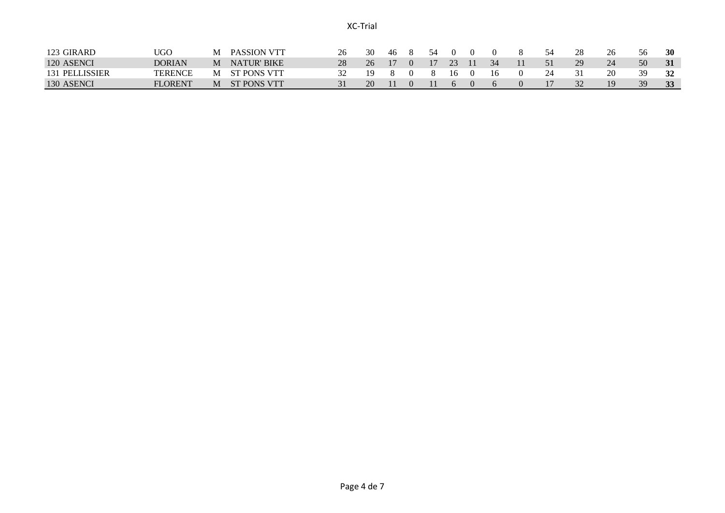XC-Trial

| 123 GIRARD     | 'JGO           | M | <b>PASSION VTT</b>    | 26 | 30 | 46 | 54 |    |    | 54 | 28  | 26 | 56 | 30              |
|----------------|----------------|---|-----------------------|----|----|----|----|----|----|----|-----|----|----|-----------------|
| 120 ASENCI     | <b>DORIAN</b>  | M | <b>NATUR' BIKE</b>    | 28 | 26 |    |    | 23 | 34 |    | 29  | 24 | 50 |                 |
| 131 PELLISSIER | TERENCE        | М | ST PONS VTT           |    |    |    |    | 16 | 16 |    | 3 I | 20 | 39 |                 |
| 130 ASENCI     | <b>FLORENT</b> | M | <b>ST</b><br>PONS VTT |    | 20 |    |    |    |    |    | 32  | 19 | 39 | 33 <sub>5</sub> |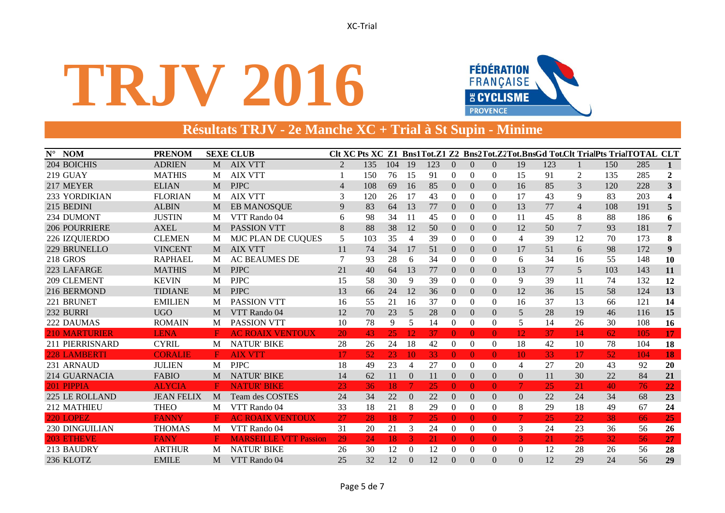# **TRJV 2016**



### **Résultats TRJV - 2e Manche XC + Trial à St Supin - Minime**

| $N^{\circ}$<br><b>NOM</b> | <b>PRENOM</b>     |             | <b>SEXE CLUB</b>             |                |     |     |          |     |                |                |          |                |     | Clt XC Pts XC Z1 Bns1Tot.Z1 Z2 Bns2Tot.Z2Tot.BnsGd Tot.Clt TrialPts TrialTOTAL CLT |     |     |                  |
|---------------------------|-------------------|-------------|------------------------------|----------------|-----|-----|----------|-----|----------------|----------------|----------|----------------|-----|------------------------------------------------------------------------------------|-----|-----|------------------|
| 204 BOICHIS               | <b>ADRIEN</b>     | M           | <b>AIX VTT</b>               | 2              | 135 | 104 | 19       | 123 | $\overline{0}$ | $\overline{0}$ | $\Omega$ | 19             | 123 |                                                                                    | 150 | 285 | $\mathbf{1}$     |
| 219 GUAY                  | <b>MATHIS</b>     | M           | <b>AIX VTT</b>               |                | 150 | 76  | 15       | 91  | $\Omega$       | $\theta$       | $\Omega$ | 15             | 91  | 2                                                                                  | 135 | 285 | 2                |
| 217 MEYER                 | <b>ELIAN</b>      | M           | <b>PJPC</b>                  | $\overline{4}$ | 108 | 69  | 16       | 85  | $\overline{0}$ | $\Omega$       | $\Omega$ | 16             | 85  | 3                                                                                  | 120 | 228 | 3                |
| 233 YORDIKIAN             | <b>FLORIAN</b>    | M           | <b>AIX VTT</b>               | 3              | 120 | 26  | 17       | 43  | $\Omega$       | $\theta$       | $\Omega$ | 17             | 43  | 9                                                                                  | 83  | 203 | 4                |
| 215 BEDINI                | <b>ALBIN</b>      | M           | <b>EB MANOSQUE</b>           | 9              | 83  | 64  | 13       | 77  | $\Omega$       | $\Omega$       | $\Omega$ | 13             | 77  | $\overline{4}$                                                                     | 108 | 191 | 5                |
| 234 DUMONT                | <b>JUSTIN</b>     | M           | VTT Rando 04                 | 6              | 98  | 34  | 11       | 45  | $\Omega$       | $\theta$       | $\Omega$ | 11             | 45  | 8                                                                                  | 88  | 186 | 6                |
| 206 POURRIERE             | <b>AXEL</b>       | M           | <b>PASSION VTT</b>           | 8              | 88  | 38  | 12       | 50  | $\Omega$       | $\Omega$       | $\Omega$ | 12             | 50  | 7                                                                                  | 93  | 181 | $\overline{7}$   |
| 226 IZQUIERDO             | <b>CLEMEN</b>     | M           | <b>MJC PLAN DE CUQUES</b>    | 5              | 103 | 35  | 4        | 39  | $\Omega$       | $\Omega$       | $\Omega$ | $\overline{4}$ | 39  | 12                                                                                 | 70  | 173 | 8                |
| 229 BRUNELLO              | <b>VINCENT</b>    | M           | <b>AIX VTT</b>               | 11             | 74  | 34  | 17       | 51  | $\overline{0}$ | $\theta$       | $\Omega$ | 17             | 51  | 6                                                                                  | 98  | 172 | $\boldsymbol{9}$ |
| <b>218 GROS</b>           | <b>RAPHAEL</b>    | M           | <b>AC BEAUMES DE</b>         |                | 93  | 28  | 6        | 34  | $\Omega$       | $\theta$       | $\Omega$ | 6              | 34  | 16                                                                                 | 55  | 148 | 10               |
| 223 LAFARGE               | <b>MATHIS</b>     | M           | <b>PJPC</b>                  | 21             | 40  | 64  | 13       | 77  | $\Omega$       | $\Omega$       | $\Omega$ | 13             | 77  | $\overline{5}$                                                                     | 103 | 143 | 11               |
| 209 CLEMENT               | <b>KEVIN</b>      | M           | <b>PJPC</b>                  | 15             | 58  | 30  | 9        | 39  | $\Omega$       | $\theta$       | $\Omega$ | 9              | 39  | 11                                                                                 | 74  | 132 | 12               |
| 216 BERMOND               | <b>TIDIANE</b>    | M           | <b>PJPC</b>                  | 13             | 66  | 24  | 12       | 36  | $\Omega$       | $\Omega$       | $\Omega$ | 12             | 36  | 15                                                                                 | 58  | 124 | 13               |
| 221 BRUNET                | <b>EMILIEN</b>    | M           | <b>PASSION VTT</b>           | 16             | 55  | 21  | 16       | 37  | 0              | $\theta$       | $\Omega$ | 16             | 37  | 13                                                                                 | 66  | 121 | 14               |
| 232 BURRI                 | <b>UGO</b>        | M           | VTT Rando 04                 | 12             | 70  | 23  | 5        | 28  | $\Omega$       | $\Omega$       | $\Omega$ | $\mathfrak{H}$ | 28  | 19                                                                                 | 46  | 116 | 15               |
| 222 DAUMAS                | <b>ROMAIN</b>     | M           | <b>PASSION VTT</b>           | 10             | 78  | 9   | 5        | 14  | $\Omega$       | $\theta$       | $\Omega$ | 5              | 14  | 26                                                                                 | 30  | 108 | 16               |
| 210 MARTURIER             | <b>LENA</b>       | F.          | <b>AC ROAIX VENTOUX</b>      | 20             | 43  | 25  | 12       | 37  | $\theta$       | $\theta$       | $\theta$ | 12             | 37  | 14                                                                                 | 62  | 105 | 17               |
| 211 PIERRISNARD           | <b>CYRIL</b>      | M           | <b>NATUR' BIKE</b>           | 28             | 26  | 24  | 18       | 42  | $\Omega$       | $\theta$       | $\Omega$ | 18             | 42  | 10                                                                                 | 78  | 104 | 18               |
| 228 LAMBERTI              | <b>CORALIE</b>    | F           | <b>AIX VTT</b>               | 17             | 52  | 23  | 10       | 33  | $\theta$       | $\theta$       | $\theta$ | 10             | 33  | 17                                                                                 | 52  | 104 | 18               |
| 231 ARNAUD                | <b>JULIEN</b>     | M           | <b>PJPC</b>                  | 18             | 49  | 23  | 4        | 27  | 0              | $\theta$       | $\Omega$ | $\overline{4}$ | 27  | 20                                                                                 | 43  | 92  | 20               |
| 214 GUARNACIA             | <b>FABIO</b>      | M           | <b>NATUR' BIKE</b>           | 14             | 62  | 11  | $\Omega$ | 11  | $\Omega$       | $\Omega$       | $\Omega$ | $\Omega$       | 11  | 30                                                                                 | 22  | 84  | 21               |
| 201 PIPPIA                | <b>ALYCIA</b>     | F.          | <b>NATUR' BIKE</b>           | 23             | 36  | 18  |          | 25  | $\theta$       | $\theta$       | $\theta$ |                | 25  | 21                                                                                 | 40  | 76  | 22               |
| 225 LE ROLLAND            | <b>JEAN FELIX</b> | M           | Team des COSTES              | 24             | 34  | 22  | $\Omega$ | 22  | $\Omega$       | $\Omega$       | $\theta$ | $\overline{0}$ | 22  | 24                                                                                 | 34  | 68  | 23               |
| 212 MATHIEU               | <b>THEO</b>       | M           | VTT Rando 04                 | 33             | 18  | 21  | 8        | 29  | $\Omega$       | $\Omega$       | $\Omega$ | 8              | 29  | 18                                                                                 | 49  | 67  | 24               |
| 220 LOPEZ                 | <b>FANNY</b>      | $\mathbf F$ | <b>AC ROAIX VENTOUX</b>      | 27             | 28  | 18  |          | 25  | $\theta$       | $\theta$       | $\theta$ |                | 25  | 22                                                                                 | 38  | 66  | 25               |
| 230 DINGUILIAN            | <b>THOMAS</b>     | M           | VTT Rando 04                 | 31             | 20  | 21  | 3        | 24  | $\Omega$       | $\theta$       | $\Omega$ | 3              | 24  | 23                                                                                 | 36  | 56  | 26               |
| 203 ETHEVE                | <b>FANY</b>       | F           | <b>MARSEILLE VTT Passion</b> | 29             | 24  | 18  | 3        | 21  | $\theta$       | $\theta$       | $\Omega$ | 3              | 21  | 25                                                                                 | 32  | 56  | 27               |
| 213 BAUDRY                | <b>ARTHUR</b>     | M           | <b>NATUR' BIKE</b>           | 26             | 30  | 12  | $\Omega$ | 12  | $\Omega$       | $\theta$       | $\theta$ | $\theta$       | 12  | 28                                                                                 | 26  | 56  | 28               |
| 236 KLOTZ                 | <b>EMILE</b>      | M           | VTT Rando 04                 | 25             | 32  | 12  | $\Omega$ | 12  | $\Omega$       | $\Omega$       | $\Omega$ | $\Omega$       | 12  | 29                                                                                 | 24  | 56  | 29               |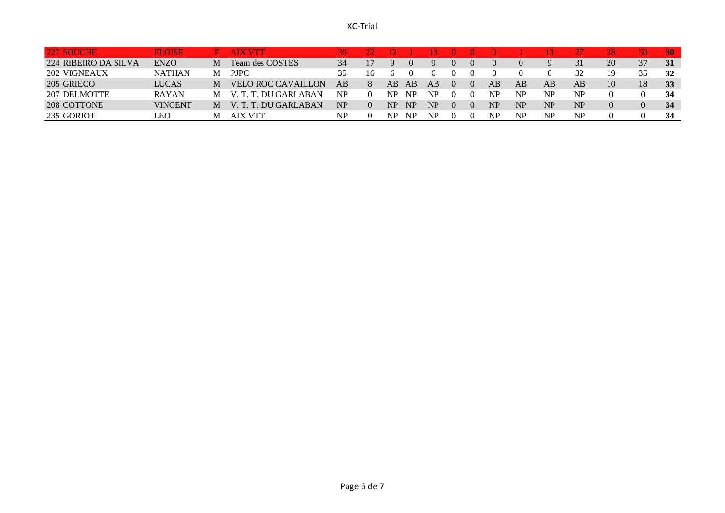| 227 SOUCHE           | <b>ELOISE</b>  | н. | AIX VTT                      |           |          |     |           |                | 0 |           |           |           |    | 28 | 50 | 30 |
|----------------------|----------------|----|------------------------------|-----------|----------|-----|-----------|----------------|---|-----------|-----------|-----------|----|----|----|----|
| 224 RIBEIRO DA SILVA | <b>ENZO</b>    | M  | Team des COSTES              |           |          |     |           |                |   |           |           |           | 31 | 20 | 37 | 31 |
| 202 VIGNEAUX         | <b>NATHAN</b>  | М  | <b>PJPC</b>                  |           | 16       |     |           |                |   |           |           |           | 32 | 19 |    | 32 |
| 205 GRIECO           | <b>LUCAS</b>   | M  | VELO ROC CAVAILI<br>$\Omega$ | AB        | 8        | AB. | AB        | AB             |   | AB        | AB        | AΒ        | AB | 10 | 18 | 33 |
| 207 DELMOTTE         | <b>RAYAN</b>   | М  | '. DU GARLABAN               | NP        | 0        | NP  | NP        | NP             |   | <b>NP</b> | <b>NP</b> | NP        | NP |    |    | 34 |
| 208 COTTONE          | <b>VINCENT</b> | M  | DU GARLABAN                  | <b>NP</b> | $\Omega$ | NP  | <b>NP</b> | N <sub>P</sub> |   | NP        | <b>NP</b> | <b>NP</b> | NP |    |    | 34 |
| 235 GORIOT           | LEO.           | М  | <b>AIX VTT</b>               | <b>NP</b> | 0        | NP  | NP        | NP             |   | NP        | <b>NP</b> | NP        | NP |    |    | 34 |